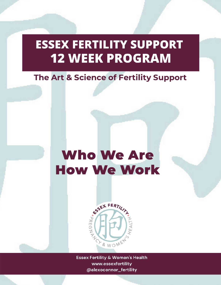### **ESSEX FERTILITY SUPPORT 12 WEEK PROGRAM**

#### The Art & Science of Fertility Support

## Who We Are How We Work



**Essex Fertility & Women's Health** www.essexfertility @alexoconnor\_fertility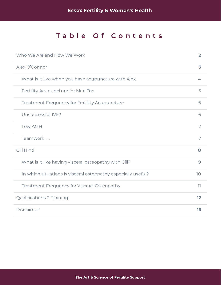#### Table Of Contents

| Who We Are and How We Work                                    | $\overline{2}$          |
|---------------------------------------------------------------|-------------------------|
| Alex O'Connor                                                 | $\overline{\mathbf{3}}$ |
| What is it like when you have acupuncture with Alex.          | 4                       |
| Fertility Acupuncture for Men Too                             | 5                       |
| <b>Treatment Frequency for Fertility Acupuncture</b>          | 6                       |
| Unsuccessful IVF?                                             | 6                       |
| Low AMH                                                       | 7                       |
| Teamwork                                                      | 7                       |
| <b>Gill Hind</b>                                              | 8                       |
| What is it like having visceral osteopathy with Gill?         | 9                       |
| In which situations is visceral osteopathy especially useful? | 10 <sup>°</sup>         |
| Treatment Frequency for Visceral Osteopathy                   | $\overline{11}$         |
| <b>Qualifications &amp; Training</b>                          | 12                      |
| Disclaimer                                                    | 13                      |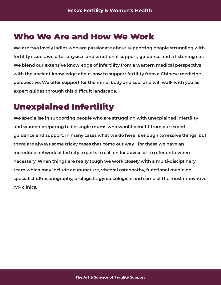#### <span id="page-2-0"></span>Who We Are and How We Work

We are two lovely ladies who are passionate about supporting people struggling with we are two lovely ladies who are passionate about supporting people subgging with fertility issues, we offer physical and emotional support, guidance and a listening ear. We blend our extensive knowledge of infertility from a western medical perspective with the ancient knowledge about how to support from  $\mathbf{j}_j$  from a Chinese medicine perspective. We offer support for the mind, body and soul and will walk with you as expert guides through this difcult landscape.

# $U = U = U = U = U = U = U = U = U$

we specialise in supporting people with unexplaining with unexplained infertility and women preparing to be single mums who would benet from our expert guidance and support. In many cases what we do here is enough to resolve things, but there are always some tricky cases that come our way - for these we have an incredible network of fertility experts to call on for advice or to refer onto when necessary. When things are really tough we work closely with a multi-disciplinary team which may include acupuncture, visceral osteopathy, functional medicine, specialist ultrasonography, urologists, gynaecologists and some of the most innovative **IVE clinics.**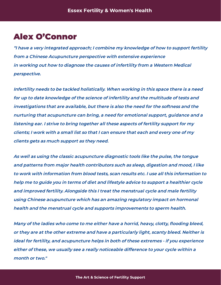#### <span id="page-3-0"></span>Alex O'Connor

"I have a very integrated approach; I combine my knowledge of how to support fertility from a Chinese Acupuncture perspective with extensive experience in working out how to diagnose the causes of infertility from a Western Medical perspective.

Infertility needs to be tackled holistically. When working in this space there is a need for up to date knowledge of the science of infertility and the multitude of tests and investigations that are available, but there is also the need for the softness and the nurturing that acupuncture can bring, a need for emotional support, guidance and a listening ear. I strive to bring together all these aspects of fertility support for my clients; I work with a small list so that I can ensure that each and every one of my clients gets as much support as they need.

As well as using the classic acupuncture diagnostic tools like the pulse, the tongue and patterns from major health contributors such as sleep, digestion and mood, I like to work with information from blood tests, scan results etc. I use all this information to help me to guide you in terms of diet and lifestyle advice to support a healthier cycle and improved fertility. Alongside this I treat the menstrual cycle and male fertility using Chinese acupuncture which has an amazing regulatory impact on hormonal health and the menstrual cycle and supports improvements to sperm health.

Many of the ladies who come to me either have a horrid, heavy, clotty, flooding bleed, or they are at the other extreme and have a particularly light, scanty bleed. Neither is ideal for fertility, and acupuncture helps in both of these extremes - if you experience either of these, we usually see a really noticeable difference to your cycle within a month or two."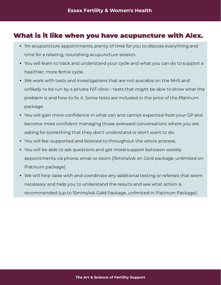### <span id="page-4-0"></span> $\mathcal{L}$  is it like when you have acupuncture with  $\mathcal{L}$

- 1hr acupuncture appointments, plenty of time for you to discuss everything and time for a relaxing, nourishing acupuncture session.
- You will learn to track and understand your cycle and what you can do to support a healthier, more fertile cycle.
- We work with tests and investigations that are not available on the NHS and unlikely to be run by a private IVF clinic - tests that might be able to show what the problem is and how to x it. Some tests are included in the price of the Platinum package.
- You will gain more confidence in what can and cannot expected from your GP and become more confident managing those awkward conversations where you are asking for something that they don't understand or don't want to do.
- You will feel supported and listened to throughout the whole process.
- You will be able to ask questions and get moral support between weekly appointments via phone, email or zoom (15mins/wk on Gold package, unlimited on Platinum package).
- We will help liaise with and coordinate any additional testing or referrals that seem necessary and help you to understand the results and see what action is recommended (up to 15mins/wk Gold Package, unlimited in Platinum Package).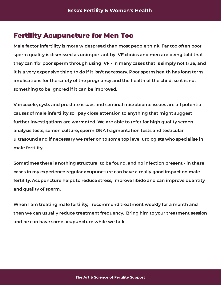### <span id="page-5-0"></span>Fertility acceptance of Men Tool and Men Tool

Male factor infertility is more widespread than most people think. Far too often poor sperm quality is dismissed as unimportant by IVF clinics and men are being told that they can 'fix' poor sperm through using IVF - in many cases that is simply not true, and it is a very expensive thing to do if it isn't necessary. Poor sperm health has long term implications for the safety of the pregnancy and the health of the child, so it is not something to be ignored if it can be improved.

Varicocele, cysts and prostate issues and seminal microbiome issues are all potential causes of male infertility so I pay close attention to anything that might suggest further investigations are warranted. We are able to refer for high quality semen analysis tests, semen culture, sperm DNA fragmentation tests and testicular ultrasound and if necessary we refer on to some top level urologists who specialise in male ferming.

Sometimes there is nothing structural to be found, and no infection present - in these cases in my experience regular acupuncture can have a really good impact on male fertility. Acupuncture helps to reduce stress, improve libido and can improve quantity and quality of sperm.

When I am treating male fertility, I recommend treatment weekly for a month and then we can usually reduce treatment frequency. Bring him to your treatment session and he can have some acupuncture while we talk.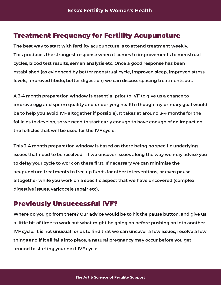### <span id="page-6-0"></span> $T$ reatment  $T$ requency for Fertility Acupuncture

The best way to start with fertility acupuncture is to attend treatment weekly. This produces the strongest response when it comes to improvements to menstrual cycles, blood test results, semen analysis etc. Once a good response has been established (as evidenced by better menstrual cycle, improved sleep, improved stress levels, improved libido, better digestion) we can discuss spacing treatments out.

 $\mathcal{A}$  3-4 month preparation window is essential prior to  $\mathcal{A}$  to  $\mathcal{A}$  as a chance to improve egg and sperm quality and underlying health (though my primary goal would be to help you avoid IVF altogether if possible). It takes at around 3-4 months for the follicles to develop, so we need to start early enough to have enough of an impact on the follicles that will be used for the IVF cycle.

This 3-4 month preparation window is based on there being no specific underlying issues that need to be resolved - if we uncover issues along the way we may advise you to delay your cycle to work on these rst. If necessary we can minimise the acupuncture treatments to free up funds for other interventions, or even pause altogether while you work on a specic aspect that we have uncovered (complex digestive issues, varicocele repair etc).

<span id="page-6-1"></span>**Previously Unsuccessful IVF?**<br>Where do you go from there? Our advice would be to hit the pause button, and give us where do you go from there can advice trouvaled the hit the pause button, and give us a little bit of time to work out what might be going on before pushing on into another IVF cycle. It is not unusual for us to find that we can uncover a few issues, resolve a few things and if it all falls into place, a natural pregnancy may occur before you get around to starting your next IVF cycle.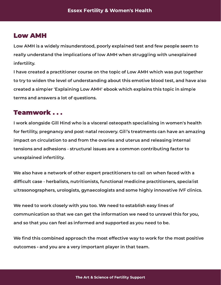#### <span id="page-7-0"></span>Low AMH

Low AMH is a widely misunderstood, poorly explained test and few people seem to really understand the implications of low AMH when struggling with unexplained inferting.

I have created a practitioner course on the topic of Low AMH which was put together to try to widen the level of understanding about this emotive blood test, and have also created a simpler 'Explaining Low AMH' ebook which explains this topic in simple terms and answers a lot of questions.

#### <span id="page-7-1"></span>Teamwork . . .

I work alongside Gill Hind who is a visceral osteopath specialising in women's health for fertility, pregnancy and post-natal recovery. Gill's treatments can have an amazing impact on circulation to and from the ovaries and uterus and releasing internal tensions and adhesions - structural issues are a common contributing factor to unexplained infertility.

We also have a network of other expert practitioners to call on when faced with a difficult case - herbalists, nutritionists, functional medicine practitioners, specialist ultrasonographers, urologists, gynaecologists and some highly innovative IVF clinics.

We need to work closely with you too. We need to establish easy lines of communication so that we can get the information we need to unravel this for you, and so that you can feel as informed and supported as you need to be.

we nd this combined approach the most effective way to work for the most positive outcomes - and you are a very important player in that team.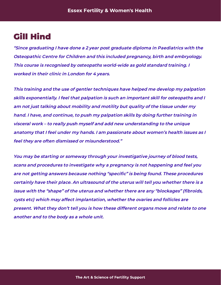#### <span id="page-8-0"></span>Gill Hind

"Since graduating I have done a 2 year post graduate diploma in Paediatrics with the Osteopathic Centre for Children and this included pregnancy, birth and embryology. This course is recognised by osteopaths world-wide as gold standard training. I worked in their clinic in London for 4 years.

This training and the use of gentler techniques have helped me develop my palpation skills exponentially. I feel that palpation is such an important skill for osteopaths and I am not just talking about mobility and motility but quality of the tissue under my hand. I have, and continue, to push my palpation skills by doing further training in visceral work – to really push myself and add new understanding to the unique anatomy that I feel under my hands. I am passionate about women's health issues as I feel they are often dismissed or misunderstood."

You may be starting or someway through your investigative journey of blood tests, scans and procedures to investigate why a pregnancy is not happening and feel you are not getting answers because nothing "specific" is being found. These procedures certainly have their place. An ultrasound of the uterus will tell you whether there is a issue with the "shape" of the uterus and whether there are any "blockages" (fibroids, cysts etc) which may affect implantation, whether the ovaries and follicles are present. What they don't tell you is how these different organs move and relate to one another and to the body as a whole unit.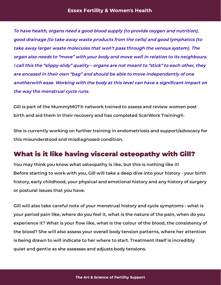To have health, organs need a good blood supply (to provide oxygen and nutrition), good drainage (to take away waste products from the cells) and good lymphatics (to take away larger waste molecules that won't pass through the venous system). The organ also needs to "move" with your body and move well in relation to its neighbours. I call this the "slippy-slidy" quality – organs are not meant to "stick" to each other, they are encased in their own "bag" and should be able to move independently of one anotherwith ease. Working with the body at this level can have a significant impact on the way the menstrual cycle runs.

Gill is part of the MummyMOT® network trained to assess and review women post birth and aid them in their recovery and has completed ScarWork Training®.

She is currently working on further training in endometriosis and support/advocacy for this misunderstood and misdiagnosed condition.

### <span id="page-9-0"></span> $W_{\text{max}}$  is it is it like the internet of  $W_{\text{max}}$  with  $W_{\text{max}}$  with  $W_{\text{max}}$

 $\mathcal{P}(X)$  and you know what osteopathy is like, but the it thenks you know Before starting to work with you, Gill will take a deep dive into your history - your birth history, early childhood, your physical and emotional history and any history of surgery or postural issues that you have.

Gill will also take careful note of your menstrual history and cycle symptoms - what is your period pain like, where do you feel it, what is the nature of the pain, when do you  $\mathcal{L}_{\mathcal{P}}$  are not in the colour of the blood, the blood of the blood, the consistency of the blood, the constant  $\mathcal{P}$  $t$  is the blood also assess your overall body tension patterns, where her attention is being drawn to will indicate to her where to start. Treatment itself is incredibly quiet and gentle as she assesses and adjusts body tensions.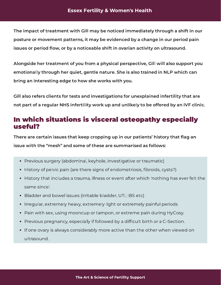The impact of treatment with Gill may be noticed immediately through a shift in our posture or movement patterns, it may be evidenced by a change in our period pain issues or period ow, or by a noticeable shift in ovarian activity on ultrasound.

Alongside her treatment of you from a physical perspective, Gill will also support you emotionally through her quiet, gentle nature. She is also trained in NLP which can bring an interesting edge to how she works with you.

Gill also refers clients for tests and investigations for unexplained infertility that are not part of a regular NHS infertility work up and unlikely to be offered by an IVF clinic.

### <span id="page-10-0"></span>In which situations is visceral osteopathy especially use een van d

There are certain issues that keep cropping up in our patients' history that ag an

- Previous surgery (abdominal, keyhole, investigative or traumatic)
- History of pelvic pain (are there signs of endometriosis, fibroids, cysts?)
- History that includes a trauma, illness or event after which 'nothing has ever felt the same since'.
- Bladder and bowel issues (irritable bladder, UTI, IBS etc)
- Irregular, extremely heavy, extremely light or extremely painful periods
- Pain with sex, using mooncup or tampon, or extreme pain during HyCosy.
- Previous pregnancy, especially if followed by a difficult birth or a C-Section.
- If one ovary is always considerably more active than the other when viewed on ultrasound.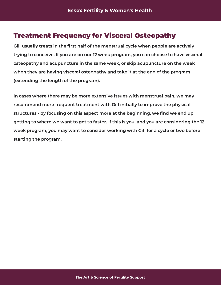# <span id="page-11-0"></span>**Treatment Frequency for Visceral Osteopathy**<br>Gill usually treats in the first half of the menstrual cycle when people are actively

Gill usually treats in the rst half of the menstrual cycle when people are actively trying to conceive. If you are on our 12 week program, you can choose to have visceral osteopathy and acupuncture in the same week, or skip acupuncture on the week when they are having visceral osteopathy and take it at the end of the program. (extending the length of the program).

In cases where there may be more extensive issues with menstrual pain, we may recommend more frequent treatment with Gill initially to improve the physical structures - by focusing on this aspect more at the beginning, we find we end up getting to where we want to get to faster. If this is you, and you are considering the 12 week program, you may want to consider working with Gill for a cycle or two before starting the program.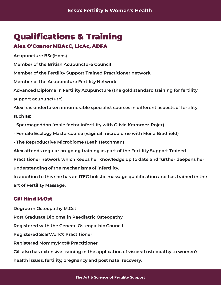### <span id="page-12-0"></span>**Qualifications & Training**

#### Alex O'Connor MBAcC, LicAc, ADFA

 $\sum_{i=1}^{n}$ 

Member of the British Acupuncture Council

Member of the Fertility Support Trained Practitioner network

Member of the Acupuncture Fertility Network

Advanced Diploma in Fertility Acupuncture (the gold standard training for fertility support acupuncture)

Alex has undertaken innumerable specialist courses in different aspects of fertility such as:

- Spermageddon (male factor infertility with Olivia Krammer-Pojer)
- Female Ecology Mastercourse (vaginal microbiome with Moira Bradfield)
- The Reproductive Microbiome (Leah Hetchman)

Alex attends regular on-going training as part of the Fertility Support Trained

Practitioner network which keeps her knowledge up to date and further deepens her understanding of the mechanisms of infertility.

In addition to this she has an ITEC holistic massage qualication and has trained in the art of Fertility Massage.

#### Gill Hind M.Ost

 $\mathcal{L}$  -  $\mathcal{L}$   $\mathcal{L}$  of  $\mathcal{L}$  and  $\mathcal{L}$  are particles to  $\mathcal{L}$ Post Graduate Diploma in Paediatric Osteopathy Registered with the General Osteopathic Council Registered ScarWork® Practitioner Registered MommyMot® Practitioner Gill also has extensive training in the application of visceral osteopathy to women's health issues, fertility, pregnancy and post natal recovery.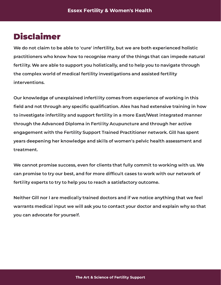#### <span id="page-13-0"></span>Disclaimer

We do not claim to be able to 'cure' infertility, but we are both experienced holistic practitioners who know how to recognise many of the things that can impede natural fertility. We are able to support you holistically, and to help you to navigate through  $t$  the complete world of medical fertility investigations and assisted fertility interventions.

Our knowledge of unexplained infertility comes from experience of working in this field and not through any specific qualification. Alex has had extensive training in how to investigate infertility and support fertility in a more East/West integrated manner through the Advanced Diploma in Fertility Acupuncture and through her active engagement with the Fertility Support Trained Practitioner network. Gill has spent years deepening her knowledge and skills of women's pelvic health assessment and treatment.

We cannot promise success, even for chients that fully committee that fully committed with us. can promise to try our best, and for more difcult cases to work with our network of fertility experts to try to help you to reach a satisfactory outcome.

Neither Gill nor I are medically trained doctors and if we notice anything that we feel warrants medical input we will ask you to contact your doctor and explain why so that you can advocate for yourself.